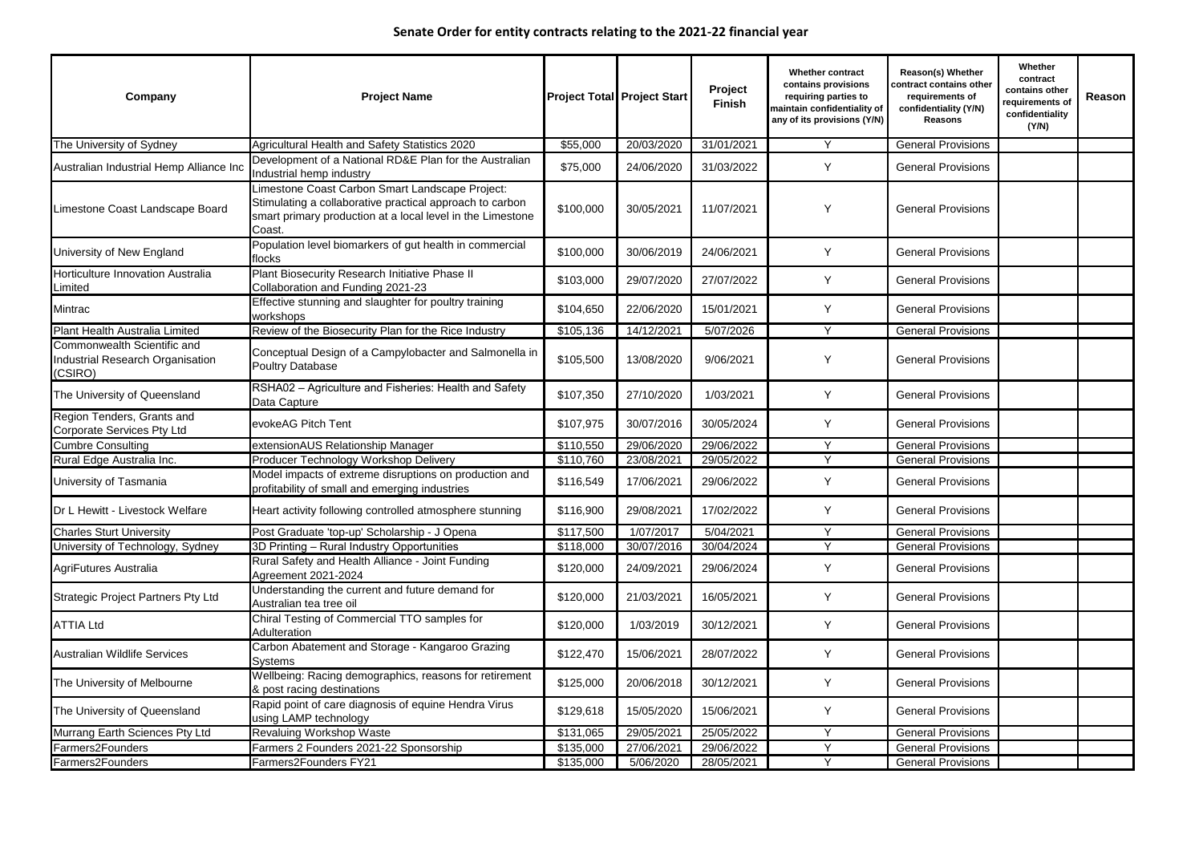| Company                                                                   | <b>Project Name</b>                                                                                                                                                                 |           | <b>Project Total Project Start</b> | Project<br><b>Finish</b> | <b>Whether contract</b><br>contains provisions<br>requiring parties to<br>maintain confidentiality of<br>any of its provisions (Y/N) | <b>Reason(s) Whether</b><br>contract contains other<br>requirements of<br>confidentiality (Y/N)<br><b>Reasons</b> | Whether<br>contract<br>contains other<br>requirements of<br>confidentiality<br>(Y/N) | Reason |
|---------------------------------------------------------------------------|-------------------------------------------------------------------------------------------------------------------------------------------------------------------------------------|-----------|------------------------------------|--------------------------|--------------------------------------------------------------------------------------------------------------------------------------|-------------------------------------------------------------------------------------------------------------------|--------------------------------------------------------------------------------------|--------|
| The University of Sydney                                                  | Agricultural Health and Safety Statistics 2020                                                                                                                                      | \$55,000  | 20/03/2020                         | 31/01/2021               | Y                                                                                                                                    | <b>General Provisions</b>                                                                                         |                                                                                      |        |
| Australian Industrial Hemp Alliance Inc                                   | Development of a National RD&E Plan for the Australian<br>Industrial hemp industry                                                                                                  | \$75,000  | 24/06/2020                         | 31/03/2022               | Y                                                                                                                                    | <b>General Provisions</b>                                                                                         |                                                                                      |        |
| Limestone Coast Landscape Board                                           | Limestone Coast Carbon Smart Landscape Project:<br>Stimulating a collaborative practical approach to carbon<br>smart primary production at a local level in the Limestone<br>Coast. | \$100,000 | 30/05/2021                         | 11/07/2021               | Y                                                                                                                                    | <b>General Provisions</b>                                                                                         |                                                                                      |        |
| University of New England                                                 | Population level biomarkers of gut health in commercial<br>flocks                                                                                                                   | \$100,000 | 30/06/2019                         | 24/06/2021               | Y                                                                                                                                    | <b>General Provisions</b>                                                                                         |                                                                                      |        |
| Horticulture Innovation Australia<br>Limited                              | Plant Biosecurity Research Initiative Phase II<br>Collaboration and Funding 2021-23                                                                                                 | \$103,000 | 29/07/2020                         | 27/07/2022               | Y                                                                                                                                    | <b>General Provisions</b>                                                                                         |                                                                                      |        |
| Mintrac                                                                   | Effective stunning and slaughter for poultry training<br>workshops                                                                                                                  | \$104,650 | 22/06/2020                         | 15/01/2021               | Y                                                                                                                                    | <b>General Provisions</b>                                                                                         |                                                                                      |        |
| <b>Plant Health Australia Limited</b>                                     | Review of the Biosecurity Plan for the Rice Industry                                                                                                                                | \$105,136 | 14/12/2021                         | 5/07/2026                | $\vee$                                                                                                                               | <b>General Provisions</b>                                                                                         |                                                                                      |        |
| Commonwealth Scientific and<br>ndustrial Research Organisation<br>(CSIRO) | Conceptual Design of a Campylobacter and Salmonella in<br><b>Poultry Database</b>                                                                                                   | \$105,500 | 13/08/2020                         | 9/06/2021                | Y                                                                                                                                    | <b>General Provisions</b>                                                                                         |                                                                                      |        |
| The University of Queensland                                              | RSHA02 - Agriculture and Fisheries: Health and Safety<br>Data Capture                                                                                                               | \$107,350 | 27/10/2020                         | 1/03/2021                | Y                                                                                                                                    | <b>General Provisions</b>                                                                                         |                                                                                      |        |
| Region Tenders, Grants and<br>Corporate Services Pty Ltd                  | evokeAG Pitch Tent                                                                                                                                                                  | \$107,975 | 30/07/2016                         | 30/05/2024               | Y                                                                                                                                    | <b>General Provisions</b>                                                                                         |                                                                                      |        |
| <b>Cumbre Consulting</b>                                                  | extensionAUS Relationship Manager                                                                                                                                                   | \$110,550 | 29/06/2020                         | 29/06/2022               | $\vee$                                                                                                                               | <b>General Provisions</b>                                                                                         |                                                                                      |        |
| Rural Edge Australia Inc.                                                 | Producer Technology Workshop Delivery                                                                                                                                               | \$110,760 | 23/08/2021                         | 29/05/2022               | Y                                                                                                                                    | <b>General Provisions</b>                                                                                         |                                                                                      |        |
| University of Tasmania                                                    | Model impacts of extreme disruptions on production and<br>profitability of small and emerging industries                                                                            | \$116,549 | 17/06/2021                         | 29/06/2022               | Y                                                                                                                                    | <b>General Provisions</b>                                                                                         |                                                                                      |        |
| Dr L Hewitt - Livestock Welfare                                           | Heart activity following controlled atmosphere stunning                                                                                                                             | \$116,900 | 29/08/2021                         | 17/02/2022               |                                                                                                                                      | <b>General Provisions</b>                                                                                         |                                                                                      |        |
| <b>Charles Sturt University</b>                                           | Post Graduate 'top-up' Scholarship - J Opena                                                                                                                                        | \$117,500 | 1/07/2017                          | 5/04/2021                | Y                                                                                                                                    | <b>General Provisions</b>                                                                                         |                                                                                      |        |
| University of Technology, Sydney                                          | 3D Printing - Rural Industry Opportunities                                                                                                                                          | \$118,000 | 30/07/2016                         | 30/04/2024               | $\vee$                                                                                                                               | <b>General Provisions</b>                                                                                         |                                                                                      |        |
| AgriFutures Australia                                                     | Rural Safety and Health Alliance - Joint Funding<br>Agreement 2021-2024                                                                                                             | \$120,000 | 24/09/2021                         | 29/06/2024               | Y                                                                                                                                    | <b>General Provisions</b>                                                                                         |                                                                                      |        |
| <b>Strategic Project Partners Pty Ltd</b>                                 | Understanding the current and future demand for<br>Australian tea tree oil                                                                                                          | \$120,000 | 21/03/2021                         | 16/05/2021               | Y                                                                                                                                    | <b>General Provisions</b>                                                                                         |                                                                                      |        |
| <b>ATTIA Ltd</b>                                                          | Chiral Testing of Commercial TTO samples for<br>Adulteration                                                                                                                        | \$120,000 | 1/03/2019                          | 30/12/2021               | Y                                                                                                                                    | <b>General Provisions</b>                                                                                         |                                                                                      |        |
| <b>Australian Wildlife Services</b>                                       | Carbon Abatement and Storage - Kangaroo Grazing<br><b>Systems</b>                                                                                                                   | \$122,470 | 15/06/2021                         | 28/07/2022               | Y                                                                                                                                    | <b>General Provisions</b>                                                                                         |                                                                                      |        |
| The University of Melbourne                                               | Wellbeing: Racing demographics, reasons for retirement<br>& post racing destinations                                                                                                | \$125,000 | 20/06/2018                         | 30/12/2021               | Y                                                                                                                                    | <b>General Provisions</b>                                                                                         |                                                                                      |        |
| The University of Queensland                                              | Rapid point of care diagnosis of equine Hendra Virus<br>using LAMP technology                                                                                                       | \$129,618 | 15/05/2020                         | 15/06/2021               | Y                                                                                                                                    | <b>General Provisions</b>                                                                                         |                                                                                      |        |
| Murrang Earth Sciences Pty Ltd                                            | <b>Revaluing Workshop Waste</b>                                                                                                                                                     | \$131,065 | 29/05/2021                         | 25/05/2022               | Y                                                                                                                                    | <b>General Provisions</b>                                                                                         |                                                                                      |        |
| Farmers2Founders                                                          | Farmers 2 Founders 2021-22 Sponsorship                                                                                                                                              | \$135,000 | 27/06/2021                         | 29/06/2022               | Y                                                                                                                                    | <b>General Provisions</b>                                                                                         |                                                                                      |        |
| Farmers2Founders                                                          | Farmers2Founders FY21                                                                                                                                                               | \$135,000 | 5/06/2020                          | 28/05/2021               |                                                                                                                                      | <b>General Provisions</b>                                                                                         |                                                                                      |        |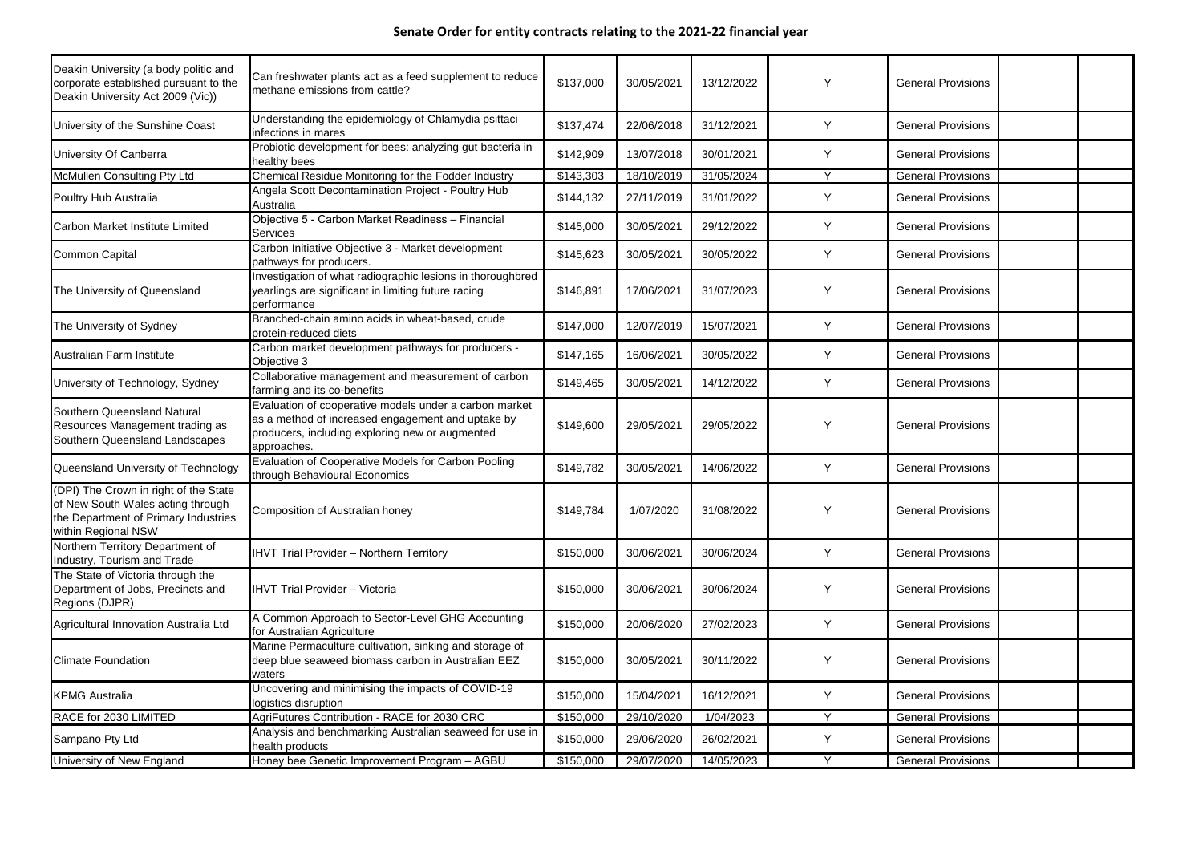| Deakin University (a body politic and<br>corporate established pursuant to the<br>Deakin University Act 2009 (Vic))                       | Can freshwater plants act as a feed supplement to reduce<br>methane emissions from cattle?                                                                                    | \$137,000 | 30/05/2021 | 13/12/2022 | Y            | <b>General Provisions</b> |  |
|-------------------------------------------------------------------------------------------------------------------------------------------|-------------------------------------------------------------------------------------------------------------------------------------------------------------------------------|-----------|------------|------------|--------------|---------------------------|--|
| University of the Sunshine Coast                                                                                                          | Understanding the epidemiology of Chlamydia psittaci<br>infections in mares                                                                                                   | \$137,474 | 22/06/2018 | 31/12/2021 | Y            | <b>General Provisions</b> |  |
| <b>University Of Canberra</b>                                                                                                             | Probiotic development for bees: analyzing gut bacteria in<br>healthy bees                                                                                                     | \$142,909 | 13/07/2018 | 30/01/2021 | Y            | <b>General Provisions</b> |  |
| McMullen Consulting Pty Ltd                                                                                                               | Chemical Residue Monitoring for the Fodder Industry                                                                                                                           | \$143,303 | 18/10/2019 | 31/05/2024 | $\checkmark$ | <b>General Provisions</b> |  |
| Poultry Hub Australia                                                                                                                     | Angela Scott Decontamination Project - Poultry Hub<br>Australia                                                                                                               | \$144,132 | 27/11/2019 | 31/01/2022 | Υ            | <b>General Provisions</b> |  |
| Carbon Market Institute Limited                                                                                                           | Objective 5 - Carbon Market Readiness - Financial<br><b>Services</b>                                                                                                          | \$145,000 | 30/05/2021 | 29/12/2022 | Y            | <b>General Provisions</b> |  |
| <b>Common Capital</b>                                                                                                                     | Carbon Initiative Objective 3 - Market development<br>pathways for producers.                                                                                                 | \$145,623 | 30/05/2021 | 30/05/2022 | Y            | <b>General Provisions</b> |  |
| The University of Queensland                                                                                                              | Investigation of what radiographic lesions in thoroughbred<br>yearlings are significant in limiting future racing<br>performance                                              | \$146,891 | 17/06/2021 | 31/07/2023 | Y            | <b>General Provisions</b> |  |
| The University of Sydney                                                                                                                  | Branched-chain amino acids in wheat-based, crude<br>protein-reduced diets                                                                                                     | \$147,000 | 12/07/2019 | 15/07/2021 | Y            | <b>General Provisions</b> |  |
| Australian Farm Institute                                                                                                                 | Carbon market development pathways for producers -<br>Objective 3                                                                                                             | \$147,165 | 16/06/2021 | 30/05/2022 | Y            | <b>General Provisions</b> |  |
| University of Technology, Sydney                                                                                                          | Collaborative management and measurement of carbon<br>farming and its co-benefits                                                                                             | \$149,465 | 30/05/2021 | 14/12/2022 | Y            | <b>General Provisions</b> |  |
| <b>Southern Queensland Natural</b><br>Resources Management trading as<br>Southern Queensland Landscapes                                   | Evaluation of cooperative models under a carbon market<br>as a method of increased engagement and uptake by<br>producers, including exploring new or augmented<br>approaches. | \$149,600 | 29/05/2021 | 29/05/2022 | Y            | <b>General Provisions</b> |  |
| Queensland University of Technology                                                                                                       | Evaluation of Cooperative Models for Carbon Pooling<br>through Behavioural Economics                                                                                          | \$149,782 | 30/05/2021 | 14/06/2022 | Y            | <b>General Provisions</b> |  |
| (DPI) The Crown in right of the State<br>of New South Wales acting through<br>the Department of Primary Industries<br>within Regional NSW | Composition of Australian honey                                                                                                                                               | \$149,784 | 1/07/2020  | 31/08/2022 |              | <b>General Provisions</b> |  |
| Northern Territory Department of<br>Industry, Tourism and Trade                                                                           | <b>IHVT Trial Provider - Northern Territory</b>                                                                                                                               | \$150,000 | 30/06/2021 | 30/06/2024 | Y            | <b>General Provisions</b> |  |
| The State of Victoria through the<br>Department of Jobs, Precincts and<br>Regions (DJPR)                                                  | <b>IHVT Trial Provider - Victoria</b>                                                                                                                                         | \$150,000 | 30/06/2021 | 30/06/2024 | Y            | <b>General Provisions</b> |  |
| Agricultural Innovation Australia Ltd                                                                                                     | A Common Approach to Sector-Level GHG Accounting<br>for Australian Agriculture                                                                                                | \$150,000 | 20/06/2020 | 27/02/2023 | Y            | <b>General Provisions</b> |  |
| <b>Climate Foundation</b>                                                                                                                 | Marine Permaculture cultivation, sinking and storage of<br>deep blue seaweed biomass carbon in Australian EEZ<br>waters                                                       | \$150,000 | 30/05/2021 | 30/11/2022 | Y            | <b>General Provisions</b> |  |
| <b>KPMG Australia</b>                                                                                                                     | Uncovering and minimising the impacts of COVID-19<br>logistics disruption                                                                                                     | \$150,000 | 15/04/2021 | 16/12/2021 | Y            | <b>General Provisions</b> |  |
| RACE for 2030 LIMITED                                                                                                                     | AgriFutures Contribution - RACE for 2030 CRC                                                                                                                                  | \$150,000 | 29/10/2020 | 1/04/2023  | Y            | <b>General Provisions</b> |  |
| Sampano Pty Ltd                                                                                                                           | Analysis and benchmarking Australian seaweed for use in<br>health products                                                                                                    | \$150,000 | 29/06/2020 | 26/02/2021 | Y            | <b>General Provisions</b> |  |
| University of New England                                                                                                                 | Honey bee Genetic Improvement Program - AGBU                                                                                                                                  | \$150,000 | 29/07/2020 | 14/05/2023 |              | <b>General Provisions</b> |  |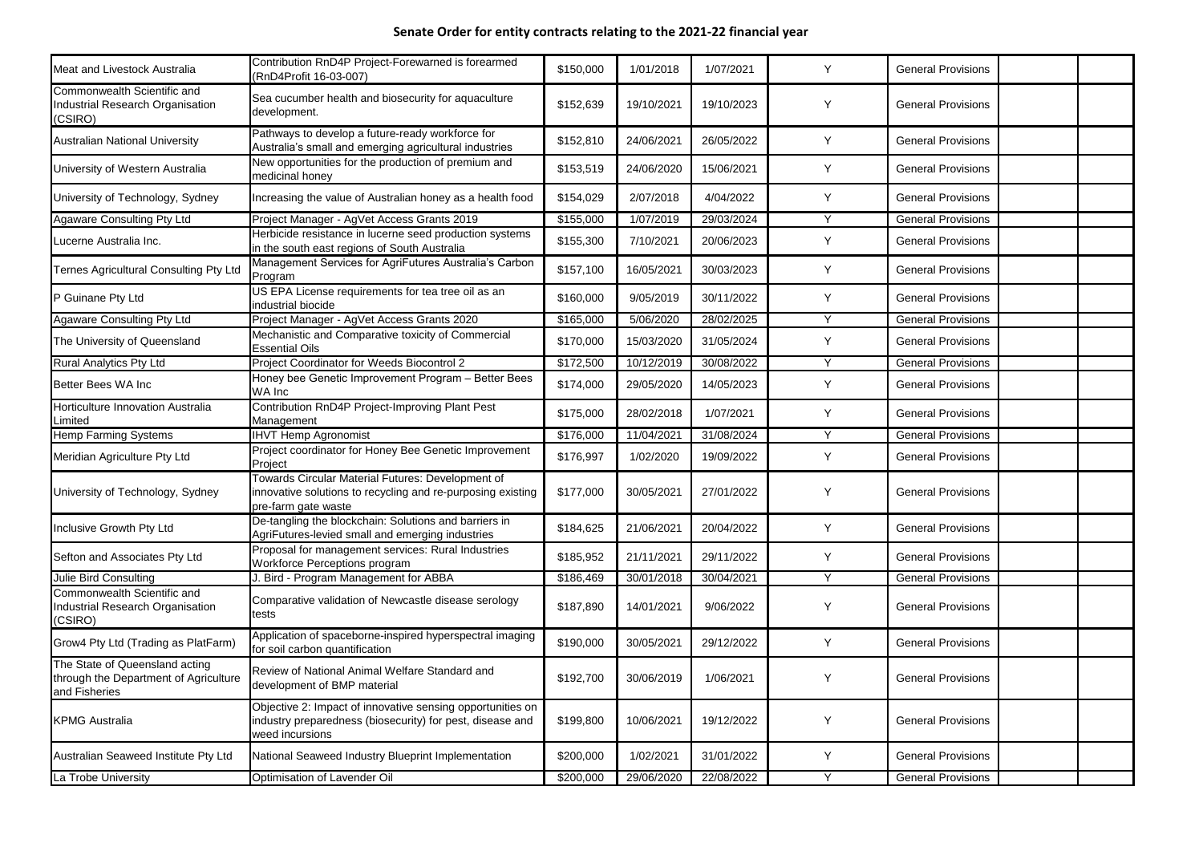| <b>Meat and Livestock Australia</b>                                                      | Contribution RnD4P Project-Forewarned is forearmed<br>(RnD4Profit 16-03-007)                                                               | \$150,000 | 1/01/2018  | 1/07/2021  |              | <b>General Provisions</b> |  |
|------------------------------------------------------------------------------------------|--------------------------------------------------------------------------------------------------------------------------------------------|-----------|------------|------------|--------------|---------------------------|--|
| Commonwealth Scientific and<br>ndustrial Research Organisation<br>(CSIRO)                | Sea cucumber health and biosecurity for aquaculture<br>development.                                                                        | \$152,639 | 19/10/2021 | 19/10/2023 | <b>Y</b>     | <b>General Provisions</b> |  |
| <b>Australian National University</b>                                                    | Pathways to develop a future-ready workforce for<br>Australia's small and emerging agricultural industries                                 | \$152,810 | 24/06/2021 | 26/05/2022 | Y            | <b>General Provisions</b> |  |
| University of Western Australia                                                          | New opportunities for the production of premium and<br>medicinal honey                                                                     | \$153,519 | 24/06/2020 | 15/06/2021 | Y            | <b>General Provisions</b> |  |
| University of Technology, Sydney                                                         | Increasing the value of Australian honey as a health food                                                                                  | \$154,029 | 2/07/2018  | 4/04/2022  | Y            | <b>General Provisions</b> |  |
| <b>Agaware Consulting Pty Ltd</b>                                                        | Project Manager - AgVet Access Grants 2019                                                                                                 | \$155,000 | 1/07/2019  | 29/03/2024 | $\vee$       | <b>General Provisions</b> |  |
| Lucerne Australia Inc.                                                                   | Herbicide resistance in lucerne seed production systems<br>in the south east regions of South Australia                                    | \$155,300 | 7/10/2021  | 20/06/2023 | Y            | <b>General Provisions</b> |  |
| <b>Ternes Agricultural Consulting Pty Ltd</b>                                            | Management Services for AgriFutures Australia's Carbon<br>Program                                                                          | \$157,100 | 16/05/2021 | 30/03/2023 | <b>Y</b>     | <b>General Provisions</b> |  |
| P Guinane Pty Ltd                                                                        | US EPA License requirements for tea tree oil as an<br>industrial biocide                                                                   | \$160,000 | 9/05/2019  | 30/11/2022 | Y            | <b>General Provisions</b> |  |
| Agaware Consulting Pty Ltd                                                               | Project Manager - AgVet Access Grants 2020                                                                                                 | \$165,000 | 5/06/2020  | 28/02/2025 | $\vee$       | <b>General Provisions</b> |  |
| The University of Queensland                                                             | Mechanistic and Comparative toxicity of Commercial<br><b>Essential Oils</b>                                                                | \$170,000 | 15/03/2020 | 31/05/2024 | <b>Y</b>     | <b>General Provisions</b> |  |
| <b>Rural Analytics Pty Ltd</b>                                                           | Project Coordinator for Weeds Biocontrol 2                                                                                                 | \$172,500 | 10/12/2019 | 30/08/2022 | $\vee$       | <b>General Provisions</b> |  |
| Better Bees WA Inc                                                                       | Honey bee Genetic Improvement Program - Better Bees<br>WA Inc                                                                              | \$174,000 | 29/05/2020 | 14/05/2023 | <b>Y</b>     | <b>General Provisions</b> |  |
| Horticulture Innovation Australia<br>Limited                                             | Contribution RnD4P Project-Improving Plant Pest<br>Management                                                                              | \$175,000 | 28/02/2018 | 1/07/2021  | <b>Y</b>     | <b>General Provisions</b> |  |
| Hemp Farming Systems                                                                     | <b>IHVT Hemp Agronomist</b>                                                                                                                | \$176,000 | 11/04/2021 | 31/08/2024 | $\vee$       | <b>General Provisions</b> |  |
| Meridian Agriculture Pty Ltd                                                             | Project coordinator for Honey Bee Genetic Improvement<br>Project                                                                           | \$176,997 | 1/02/2020  | 19/09/2022 | Y            | <b>General Provisions</b> |  |
| University of Technology, Sydney                                                         | Towards Circular Material Futures: Development of<br>innovative solutions to recycling and re-purposing existing<br>pre-farm gate waste    | \$177,000 | 30/05/2021 | 27/01/2022 | $\mathsf{v}$ | <b>General Provisions</b> |  |
| Inclusive Growth Pty Ltd                                                                 | De-tangling the blockchain: Solutions and barriers in<br>AgriFutures-levied small and emerging industries                                  | \$184,625 | 21/06/2021 | 20/04/2022 | Y            | <b>General Provisions</b> |  |
| Sefton and Associates Pty Ltd                                                            | Proposal for management services: Rural Industries<br>Workforce Perceptions program                                                        | \$185,952 | 21/11/2021 | 29/11/2022 | Y            | <b>General Provisions</b> |  |
| Julie Bird Consulting                                                                    | I. Bird - Program Management for ABBA                                                                                                      | \$186,469 | 30/01/2018 | 30/04/2021 | Y            | <b>General Provisions</b> |  |
| Commonwealth Scientific and<br>ndustrial Research Organisation<br>(CSIRO)                | Comparative validation of Newcastle disease serology<br>tests                                                                              | \$187,890 | 14/01/2021 | 9/06/2022  | Y            | <b>General Provisions</b> |  |
| Grow4 Pty Ltd (Trading as PlatFarm)                                                      | Application of spaceborne-inspired hyperspectral imaging<br>for soil carbon quantification                                                 | \$190,000 | 30/05/2021 | 29/12/2022 | Y            | <b>General Provisions</b> |  |
| The State of Queensland acting<br>through the Department of Agriculture<br>and Fisheries | Review of National Animal Welfare Standard and<br>development of BMP material                                                              | \$192,700 | 30/06/2019 | 1/06/2021  | Y            | <b>General Provisions</b> |  |
| <b>KPMG Australia</b>                                                                    | Objective 2: Impact of innovative sensing opportunities on<br>industry preparedness (biosecurity) for pest, disease and<br>weed incursions | \$199,800 | 10/06/2021 | 19/12/2022 | Y            | <b>General Provisions</b> |  |
| Australian Seaweed Institute Pty Ltd                                                     | National Seaweed Industry Blueprint Implementation                                                                                         | \$200,000 | 1/02/2021  | 31/01/2022 | Y            | <b>General Provisions</b> |  |
| La Trobe University                                                                      | Optimisation of Lavender Oil                                                                                                               | \$200,000 | 29/06/2020 | 22/08/2022 |              | <b>General Provisions</b> |  |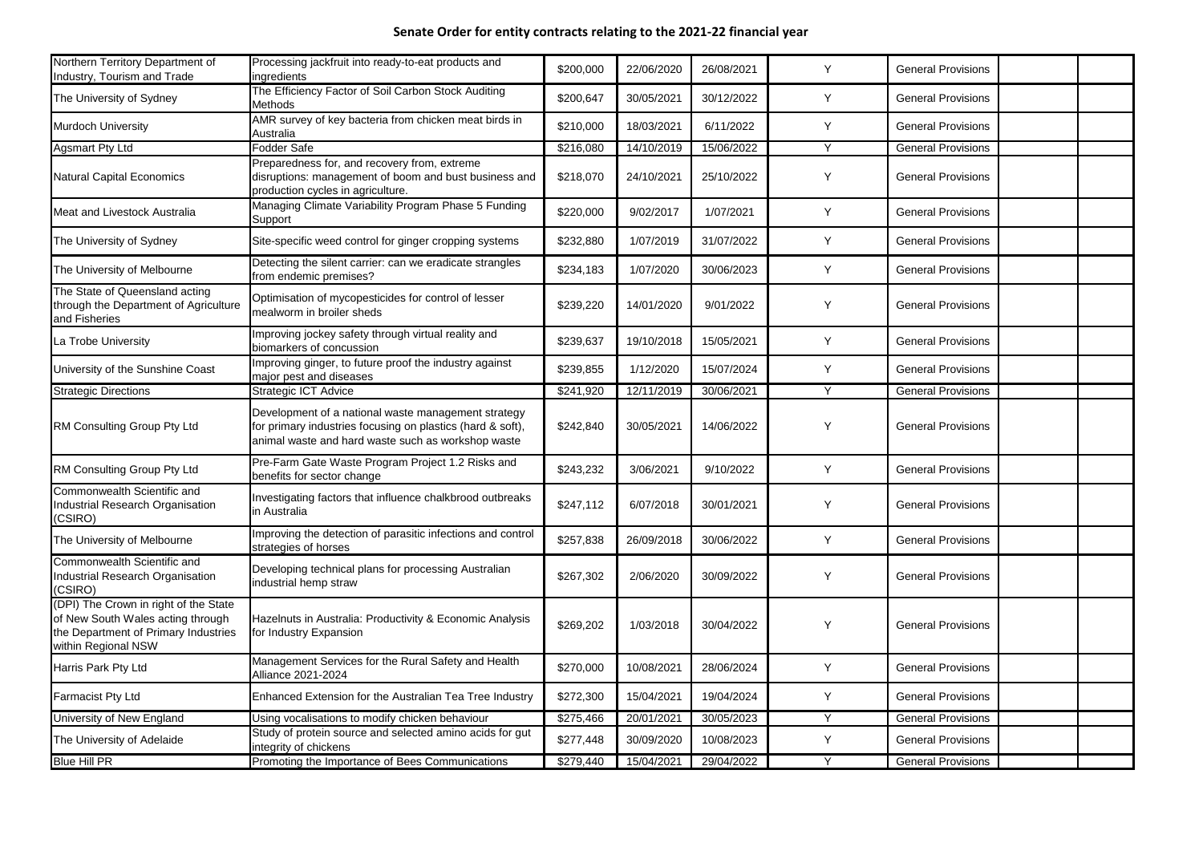| Northern Territory Department of<br>Industry, Tourism and Trade                                                                           | Processing jackfruit into ready-to-eat products and<br>ingredients                                                                                                      | \$200,000 | 22/06/2020 | 26/08/2021 | Y            | <b>General Provisions</b> |  |
|-------------------------------------------------------------------------------------------------------------------------------------------|-------------------------------------------------------------------------------------------------------------------------------------------------------------------------|-----------|------------|------------|--------------|---------------------------|--|
| The University of Sydney                                                                                                                  | The Efficiency Factor of Soil Carbon Stock Auditing<br><b>Methods</b>                                                                                                   | \$200,647 | 30/05/2021 | 30/12/2022 | Y            | <b>General Provisions</b> |  |
| <b>Murdoch University</b>                                                                                                                 | AMR survey of key bacteria from chicken meat birds in<br>Australia                                                                                                      | \$210,000 | 18/03/2021 | 6/11/2022  | Y            | <b>General Provisions</b> |  |
| Agsmart Pty Ltd                                                                                                                           | Fodder Safe                                                                                                                                                             | \$216,080 | 14/10/2019 | 15/06/2022 | Y            | <b>General Provisions</b> |  |
| <b>Natural Capital Economics</b>                                                                                                          | Preparedness for, and recovery from, extreme<br>disruptions: management of boom and bust business and<br>production cycles in agriculture.                              | \$218,070 | 24/10/2021 | 25/10/2022 | Y            | <b>General Provisions</b> |  |
| Meat and Livestock Australia                                                                                                              | Managing Climate Variability Program Phase 5 Funding<br>Support                                                                                                         | \$220,000 | 9/02/2017  | 1/07/2021  | Y            | <b>General Provisions</b> |  |
| The University of Sydney                                                                                                                  | Site-specific weed control for ginger cropping systems                                                                                                                  | \$232,880 | 1/07/2019  | 31/07/2022 | Y            | <b>General Provisions</b> |  |
| The University of Melbourne                                                                                                               | Detecting the silent carrier: can we eradicate strangles<br>from endemic premises?                                                                                      | \$234,183 | 1/07/2020  | 30/06/2023 | Y            | <b>General Provisions</b> |  |
| The State of Queensland acting<br>through the Department of Agriculture<br>and Fisheries                                                  | Optimisation of mycopesticides for control of lesser<br>Imealworm in broiler sheds                                                                                      | \$239,220 | 14/01/2020 | 9/01/2022  | Y            | <b>General Provisions</b> |  |
| La Trobe University                                                                                                                       | Improving jockey safety through virtual reality and<br>biomarkers of concussion                                                                                         | \$239,637 | 19/10/2018 | 15/05/2021 | Y            | <b>General Provisions</b> |  |
| University of the Sunshine Coast                                                                                                          | Improving ginger, to future proof the industry against<br>major pest and diseases                                                                                       | \$239,855 | 1/12/2020  | 15/07/2024 | Y            | <b>General Provisions</b> |  |
| <b>Strategic Directions</b>                                                                                                               | <b>Strategic ICT Advice</b>                                                                                                                                             | \$241,920 | 12/11/2019 | 30/06/2021 | $\mathsf{Y}$ | <b>General Provisions</b> |  |
| RM Consulting Group Pty Ltd                                                                                                               | Development of a national waste management strategy<br>for primary industries focusing on plastics (hard & soft),<br>animal waste and hard waste such as workshop waste | \$242,840 | 30/05/2021 | 14/06/2022 | Y            | <b>General Provisions</b> |  |
| RM Consulting Group Pty Ltd                                                                                                               | Pre-Farm Gate Waste Program Project 1.2 Risks and<br>benefits for sector change                                                                                         | \$243,232 | 3/06/2021  | 9/10/2022  | Y            | <b>General Provisions</b> |  |
| Commonwealth Scientific and<br><b>Industrial Research Organisation</b><br>(CSIRO)                                                         | Investigating factors that influence chalkbrood outbreaks<br>in Australia                                                                                               | \$247,112 | 6/07/2018  | 30/01/2021 | Y            | <b>General Provisions</b> |  |
| The University of Melbourne                                                                                                               | Improving the detection of parasitic infections and control<br>strategies of horses                                                                                     | \$257,838 | 26/09/2018 | 30/06/2022 | Y            | <b>General Provisions</b> |  |
| Commonwealth Scientific and<br><b>Industrial Research Organisation</b><br>(CSIRO)                                                         | Developing technical plans for processing Australian<br>industrial hemp straw                                                                                           | \$267,302 | 2/06/2020  | 30/09/2022 | Y            | <b>General Provisions</b> |  |
| (DPI) The Crown in right of the State<br>of New South Wales acting through<br>the Department of Primary Industries<br>within Regional NSW | Hazelnuts in Australia: Productivity & Economic Analysis<br>for Industry Expansion                                                                                      | \$269,202 | 1/03/2018  | 30/04/2022 | Y            | <b>General Provisions</b> |  |
| Harris Park Pty Ltd                                                                                                                       | Management Services for the Rural Safety and Health<br>Alliance 2021-2024                                                                                               | \$270,000 | 10/08/2021 | 28/06/2024 | Y            | <b>General Provisions</b> |  |
| <b>Farmacist Pty Ltd</b>                                                                                                                  | Enhanced Extension for the Australian Tea Tree Industry                                                                                                                 | \$272,300 | 15/04/2021 | 19/04/2024 | Y            | <b>General Provisions</b> |  |
| University of New England                                                                                                                 | Using vocalisations to modify chicken behaviour                                                                                                                         | \$275,466 | 20/01/2021 | 30/05/2023 | Y            | <b>General Provisions</b> |  |
| The University of Adelaide                                                                                                                | Study of protein source and selected amino acids for gut<br>integrity of chickens                                                                                       | \$277,448 | 30/09/2020 | 10/08/2023 | Y            | <b>General Provisions</b> |  |
| <b>Blue Hill PR</b>                                                                                                                       | Promoting the Importance of Bees Communications                                                                                                                         | \$279,440 | 15/04/2021 | 29/04/2022 |              | <b>General Provisions</b> |  |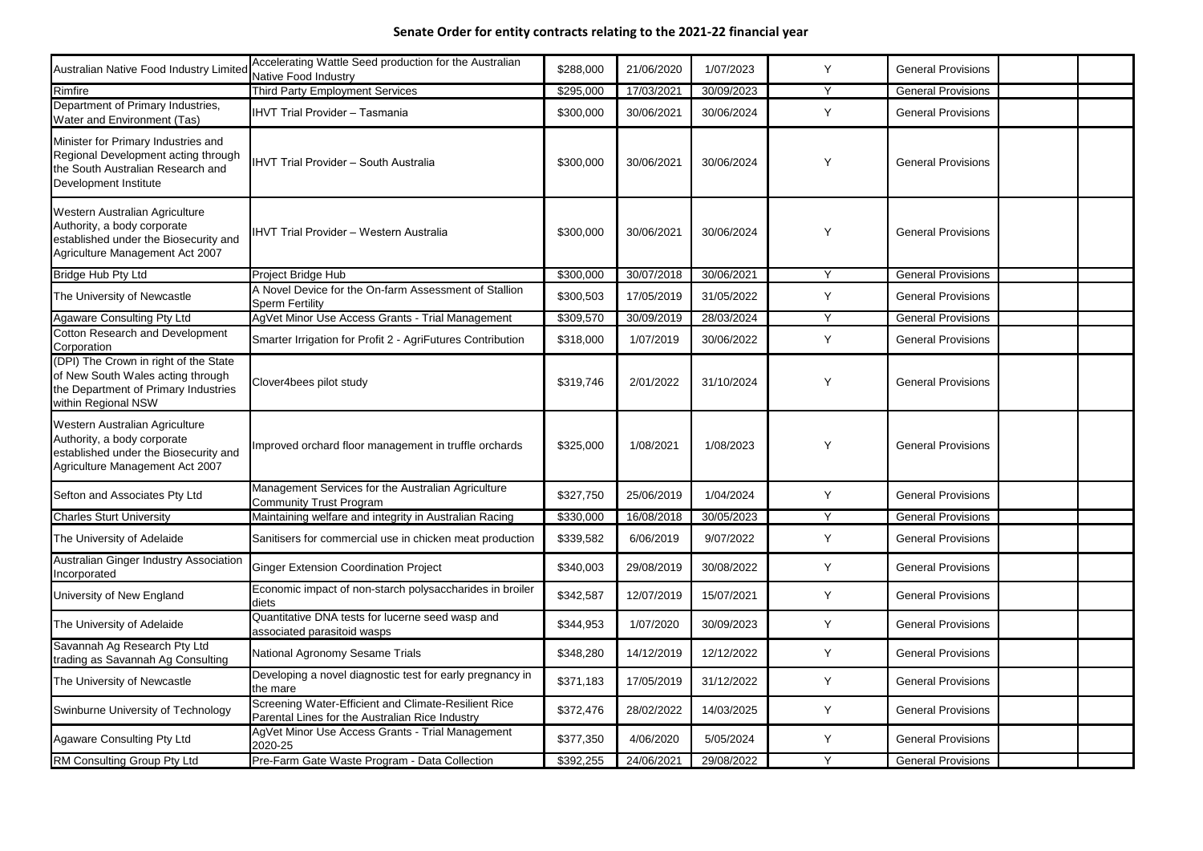| Australian Native Food Industry Limited                                                                                                   | Accelerating Wattle Seed production for the Australian<br><b>Native Food Industry</b>                   | \$288,000 | 21/06/2020 | 1/07/2023  | Y | <b>General Provisions</b> |  |
|-------------------------------------------------------------------------------------------------------------------------------------------|---------------------------------------------------------------------------------------------------------|-----------|------------|------------|---|---------------------------|--|
| Rimfire                                                                                                                                   | Third Party Employment Services                                                                         | \$295,000 | 17/03/2021 | 30/09/2023 | Y | <b>General Provisions</b> |  |
| Department of Primary Industries,<br>Water and Environment (Tas)                                                                          | <b>IHVT Trial Provider - Tasmania</b>                                                                   | \$300,000 | 30/06/2021 | 30/06/2024 | Y | <b>General Provisions</b> |  |
| Minister for Primary Industries and<br>Regional Development acting through<br>the South Australian Research and<br>Development Institute  | <b>IHVT Trial Provider - South Australia</b>                                                            | \$300,000 | 30/06/2021 | 30/06/2024 | Y | <b>General Provisions</b> |  |
| Western Australian Agriculture<br>Authority, a body corporate<br>established under the Biosecurity and<br>Agriculture Management Act 2007 | <b>IHVT Trial Provider - Western Australia</b>                                                          | \$300,000 | 30/06/2021 | 30/06/2024 | Y | <b>General Provisions</b> |  |
| <b>Bridge Hub Pty Ltd</b>                                                                                                                 | Project Bridge Hub                                                                                      | \$300,000 | 30/07/2018 | 30/06/2021 | Y | <b>General Provisions</b> |  |
| The University of Newcastle                                                                                                               | A Novel Device for the On-farm Assessment of Stallion<br><b>Sperm Fertility</b>                         | \$300,503 | 17/05/2019 | 31/05/2022 | Y | <b>General Provisions</b> |  |
| <b>Agaware Consulting Pty Ltd</b>                                                                                                         | AgVet Minor Use Access Grants - Trial Management                                                        | \$309,570 | 30/09/2019 | 28/03/2024 | Y | <b>General Provisions</b> |  |
| <b>Cotton Research and Development</b><br>Corporation                                                                                     | Smarter Irrigation for Profit 2 - AgriFutures Contribution                                              | \$318,000 | 1/07/2019  | 30/06/2022 | Y | <b>General Provisions</b> |  |
| (DPI) The Crown in right of the State<br>of New South Wales acting through<br>the Department of Primary Industries<br>within Regional NSW | Clover4bees pilot study                                                                                 | \$319,746 | 2/01/2022  | 31/10/2024 | Y | <b>General Provisions</b> |  |
| Western Australian Agriculture<br>Authority, a body corporate<br>established under the Biosecurity and<br>Agriculture Management Act 2007 | Improved orchard floor management in truffle orchards                                                   | \$325,000 | 1/08/2021  | 1/08/2023  | Y | <b>General Provisions</b> |  |
| Sefton and Associates Pty Ltd                                                                                                             | Management Services for the Australian Agriculture<br><b>Community Trust Program</b>                    | \$327,750 | 25/06/2019 | 1/04/2024  | Y | <b>General Provisions</b> |  |
| <b>Charles Sturt University</b>                                                                                                           | Maintaining welfare and integrity in Australian Racing                                                  | \$330,000 | 16/08/2018 | 30/05/2023 | Y | <b>General Provisions</b> |  |
| The University of Adelaide                                                                                                                | Sanitisers for commercial use in chicken meat production                                                | \$339,582 | 6/06/2019  | 9/07/2022  | Y | <b>General Provisions</b> |  |
| <b>Australian Ginger Industry Association</b><br>Incorporated                                                                             | <b>Ginger Extension Coordination Project</b>                                                            | \$340,003 | 29/08/2019 | 30/08/2022 | Y | <b>General Provisions</b> |  |
| University of New England                                                                                                                 | Economic impact of non-starch polysaccharides in broiler<br>diets                                       | \$342,587 | 12/07/2019 | 15/07/2021 | Y | <b>General Provisions</b> |  |
| The University of Adelaide                                                                                                                | Quantitative DNA tests for lucerne seed wasp and<br>associated parasitoid wasps                         | \$344,953 | 1/07/2020  | 30/09/2023 | Y | <b>General Provisions</b> |  |
| Savannah Ag Research Pty Ltd<br>trading as Savannah Ag Consulting                                                                         | National Agronomy Sesame Trials                                                                         | \$348,280 | 14/12/2019 | 12/12/2022 | Y | <b>General Provisions</b> |  |
| The University of Newcastle                                                                                                               | Developing a novel diagnostic test for early pregnancy in<br>the mare                                   | \$371,183 | 17/05/2019 | 31/12/2022 | Y | <b>General Provisions</b> |  |
| Swinburne University of Technology                                                                                                        | Screening Water-Efficient and Climate-Resilient Rice<br>Parental Lines for the Australian Rice Industry | \$372,476 | 28/02/2022 | 14/03/2025 | Y | <b>General Provisions</b> |  |
| <b>Agaware Consulting Pty Ltd</b>                                                                                                         | AgVet Minor Use Access Grants - Trial Management<br>2020-25                                             | \$377,350 | 4/06/2020  | 5/05/2024  | Y | <b>General Provisions</b> |  |
| RM Consulting Group Pty Ltd                                                                                                               | Pre-Farm Gate Waste Program - Data Collection                                                           | \$392,255 | 24/06/2021 | 29/08/2022 | Y | <b>General Provisions</b> |  |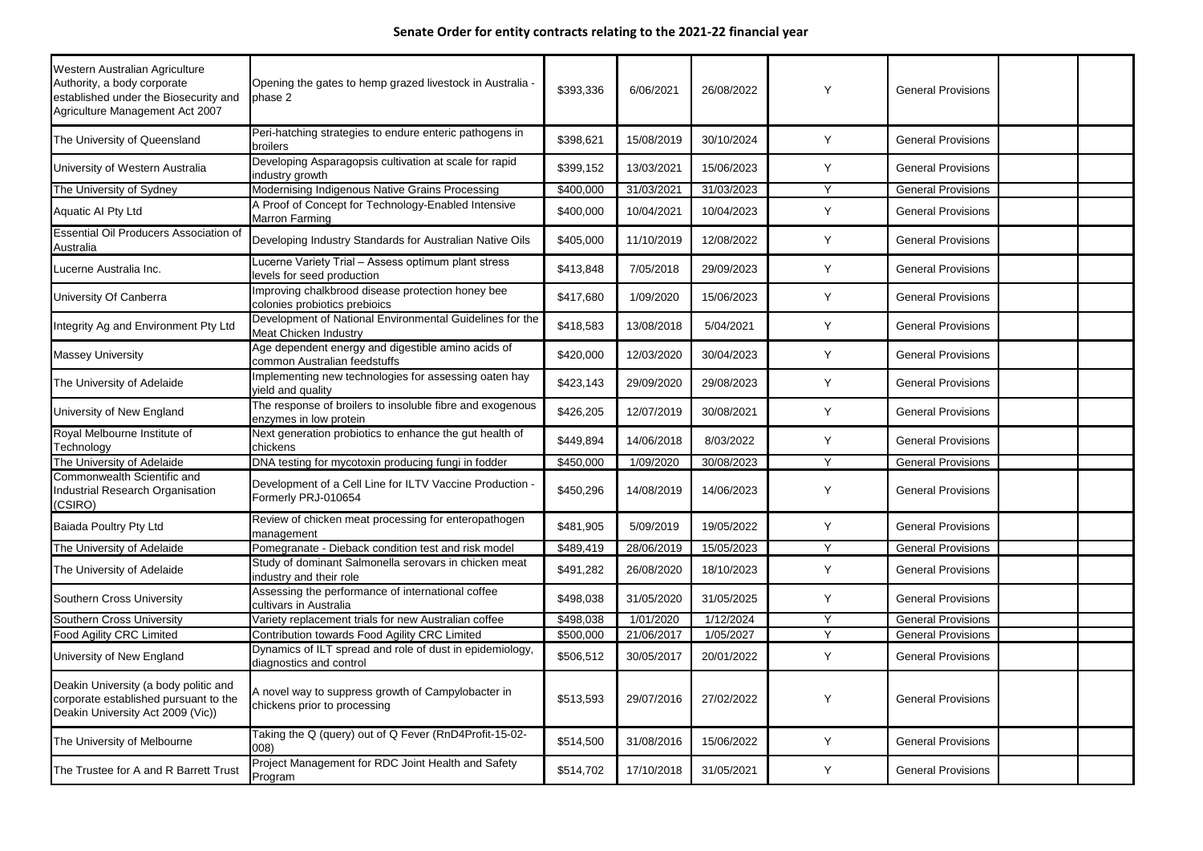| Western Australian Agriculture<br>Authority, a body corporate<br>established under the Biosecurity and<br>Agriculture Management Act 2007 | Opening the gates to hemp grazed livestock in Australia -<br>phase 2                     | \$393,336 | 6/06/2021  | 26/08/2022 | <b>Y</b> | <b>General Provisions</b> |  |
|-------------------------------------------------------------------------------------------------------------------------------------------|------------------------------------------------------------------------------------------|-----------|------------|------------|----------|---------------------------|--|
| The University of Queensland                                                                                                              | Peri-hatching strategies to endure enteric pathogens in<br><b>broilers</b>               | \$398,621 | 15/08/2019 | 30/10/2024 | Y        | <b>General Provisions</b> |  |
| University of Western Australia                                                                                                           | Developing Asparagopsis cultivation at scale for rapid<br>industry growth                | \$399,152 | 13/03/2021 | 15/06/2023 | Y        | <b>General Provisions</b> |  |
| The University of Sydney                                                                                                                  | Modernising Indigenous Native Grains Processing                                          | \$400,000 | 31/03/2021 | 31/03/2023 | $\vee$   | <b>General Provisions</b> |  |
| <b>Aquatic AI Pty Ltd</b>                                                                                                                 | A Proof of Concept for Technology-Enabled Intensive<br><b>Marron Farming</b>             | \$400,000 | 10/04/2021 | 10/04/2023 | Y        | <b>General Provisions</b> |  |
| <b>Essential Oil Producers Association of</b><br>Australia                                                                                | Developing Industry Standards for Australian Native Oils                                 | \$405,000 | 11/10/2019 | 12/08/2022 | Y        | <b>General Provisions</b> |  |
| Lucerne Australia Inc.                                                                                                                    | ucerne Variety Trial - Assess optimum plant stress<br>levels for seed production         | \$413,848 | 7/05/2018  | 29/09/2023 | Y        | <b>General Provisions</b> |  |
| University Of Canberra                                                                                                                    | Improving chalkbrood disease protection honey bee<br>colonies probiotics prebioics       | \$417,680 | 1/09/2020  | 15/06/2023 | Y        | <b>General Provisions</b> |  |
| Integrity Ag and Environment Pty Ltd                                                                                                      | Development of National Environmental Guidelines for the<br><b>Meat Chicken Industry</b> | \$418,583 | 13/08/2018 | 5/04/2021  | Y        | <b>General Provisions</b> |  |
| <b>Massey University</b>                                                                                                                  | Age dependent energy and digestible amino acids of<br>common Australian feedstuffs       | \$420,000 | 12/03/2020 | 30/04/2023 | Y        | <b>General Provisions</b> |  |
| The University of Adelaide                                                                                                                | Implementing new technologies for assessing oaten hay<br>yield and quality               | \$423,143 | 29/09/2020 | 29/08/2023 | Y        | <b>General Provisions</b> |  |
| University of New England                                                                                                                 | The response of broilers to insoluble fibre and exogenous<br>enzymes in low protein      | \$426,205 | 12/07/2019 | 30/08/2021 | Y        | <b>General Provisions</b> |  |
| Royal Melbourne Institute of<br>Technology                                                                                                | Next generation probiotics to enhance the gut health of<br>chickens                      | \$449,894 | 14/06/2018 | 8/03/2022  | Y        | <b>General Provisions</b> |  |
| The University of Adelaide                                                                                                                | DNA testing for mycotoxin producing fungi in fodder                                      | \$450,000 | 1/09/2020  | 30/08/2023 | $\vee$   | <b>General Provisions</b> |  |
| Commonwealth Scientific and<br>Industrial Research Organisation<br>(CSIRO)                                                                | Development of a Cell Line for ILTV Vaccine Production .<br>Formerly PRJ-010654          | \$450,296 | 14/08/2019 | 14/06/2023 | <b>Y</b> | <b>General Provisions</b> |  |
| <b>Baiada Poultry Pty Ltd</b>                                                                                                             | Review of chicken meat processing for enteropathogen<br>management                       | \$481,905 | 5/09/2019  | 19/05/2022 | Y        | <b>General Provisions</b> |  |
| The University of Adelaide                                                                                                                | Pomegranate - Dieback condition test and risk model                                      | \$489,419 | 28/06/2019 | 15/05/2023 | Y        | <b>General Provisions</b> |  |
| The University of Adelaide                                                                                                                | Study of dominant Salmonella serovars in chicken meat<br>industry and their role         | \$491,282 | 26/08/2020 | 18/10/2023 | Y        | <b>General Provisions</b> |  |
| <b>Southern Cross University</b>                                                                                                          | Assessing the performance of international coffee<br>cultivars in Australia              | \$498,038 | 31/05/2020 | 31/05/2025 | Y        | <b>General Provisions</b> |  |
| <b>Southern Cross University</b>                                                                                                          | Variety replacement trials for new Australian coffee                                     | \$498,038 | 1/01/2020  | 1/12/2024  | Y        | <b>General Provisions</b> |  |
| <b>Food Agility CRC Limited</b>                                                                                                           | Contribution towards Food Agility CRC Limited                                            | \$500,000 | 21/06/2017 | 1/05/2027  | $\vee$   | <b>General Provisions</b> |  |
| University of New England                                                                                                                 | Dynamics of ILT spread and role of dust in epidemiology,<br>diagnostics and control      | \$506,512 | 30/05/2017 | 20/01/2022 | Y        | <b>General Provisions</b> |  |
| Deakin University (a body politic and<br>corporate established pursuant to the<br>Deakin University Act 2009 (Vic))                       | A novel way to suppress growth of Campylobacter in<br>chickens prior to processing       | \$513,593 | 29/07/2016 | 27/02/2022 | Y        | <b>General Provisions</b> |  |
| The University of Melbourne                                                                                                               | Taking the Q (query) out of Q Fever (RnD4Profit-15-02-<br>008)                           | \$514,500 | 31/08/2016 | 15/06/2022 | Y        | <b>General Provisions</b> |  |
| The Trustee for A and R Barrett Trust                                                                                                     | Project Management for RDC Joint Health and Safety<br>Program                            | \$514,702 | 17/10/2018 | 31/05/2021 | Y        | <b>General Provisions</b> |  |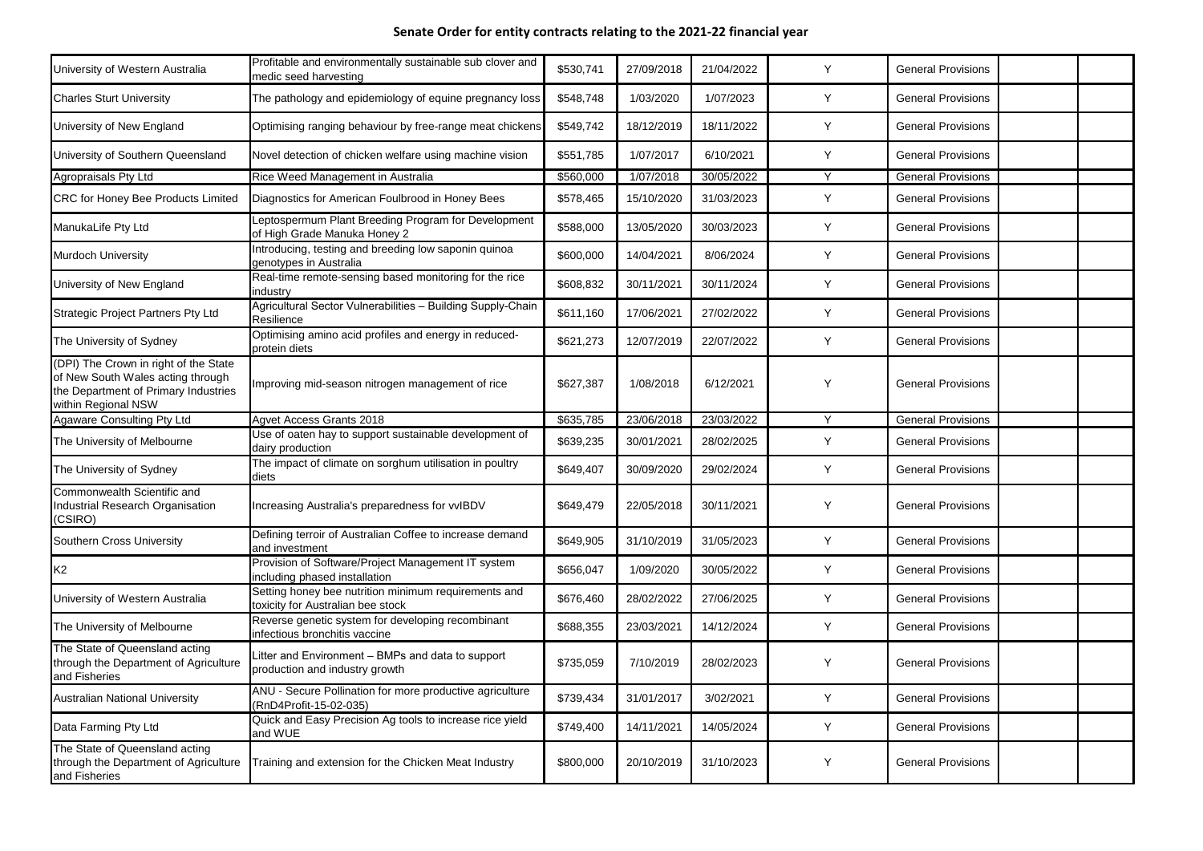| University of Western Australia                                                                                                           | Profitable and environmentally sustainable sub clover and<br>medic seed harvesting        | \$530,741 | 27/09/2018 | 21/04/2022 | Y            | <b>General Provisions</b> |  |
|-------------------------------------------------------------------------------------------------------------------------------------------|-------------------------------------------------------------------------------------------|-----------|------------|------------|--------------|---------------------------|--|
| <b>Charles Sturt University</b>                                                                                                           | The pathology and epidemiology of equine pregnancy loss                                   | \$548,748 | 1/03/2020  | 1/07/2023  | Y            | <b>General Provisions</b> |  |
| University of New England                                                                                                                 | Optimising ranging behaviour by free-range meat chickens                                  | \$549,742 | 18/12/2019 | 18/11/2022 | Y            | <b>General Provisions</b> |  |
| University of Southern Queensland                                                                                                         | Novel detection of chicken welfare using machine vision                                   | \$551,785 | 1/07/2017  | 6/10/2021  | Y            | <b>General Provisions</b> |  |
| Agropraisals Pty Ltd                                                                                                                      | Rice Weed Management in Australia                                                         | \$560,000 | 1/07/2018  | 30/05/2022 | $\checkmark$ | <b>General Provisions</b> |  |
| <b>CRC for Honey Bee Products Limited</b>                                                                                                 | Diagnostics for American Foulbrood in Honey Bees                                          | \$578,465 | 15/10/2020 | 31/03/2023 | Y            | <b>General Provisions</b> |  |
| ManukaLife Pty Ltd                                                                                                                        | Leptospermum Plant Breeding Program for Development<br>of High Grade Manuka Honey 2       | \$588,000 | 13/05/2020 | 30/03/2023 | Y            | <b>General Provisions</b> |  |
| <b>Murdoch University</b>                                                                                                                 | Introducing, testing and breeding low saponin quinoa<br>genotypes in Australia            | \$600,000 | 14/04/2021 | 8/06/2024  | Y            | <b>General Provisions</b> |  |
| Jniversity of New England                                                                                                                 | Real-time remote-sensing based monitoring for the rice<br>industry                        | \$608,832 | 30/11/2021 | 30/11/2024 | Y            | <b>General Provisions</b> |  |
| Strategic Project Partners Pty Ltd                                                                                                        | Agricultural Sector Vulnerabilities - Building Supply-Chain<br>Resilience                 | \$611,160 | 17/06/2021 | 27/02/2022 | Y            | <b>General Provisions</b> |  |
| The University of Sydney                                                                                                                  | Optimising amino acid profiles and energy in reduced-<br>protein diets                    | \$621,273 | 12/07/2019 | 22/07/2022 | Y            | <b>General Provisions</b> |  |
| (DPI) The Crown in right of the State<br>of New South Wales acting through<br>the Department of Primary Industries<br>within Regional NSW | Improving mid-season nitrogen management of rice                                          | \$627,387 | 1/08/2018  | 6/12/2021  | <b>Y</b>     | <b>General Provisions</b> |  |
| Agaware Consulting Pty Ltd                                                                                                                | <b>Agvet Access Grants 2018</b>                                                           | \$635,785 | 23/06/2018 | 23/03/2022 | $\vee$       | <b>General Provisions</b> |  |
| The University of Melbourne                                                                                                               | Use of oaten hay to support sustainable development of<br>dairy production                | \$639,235 | 30/01/2021 | 28/02/2025 | Y            | <b>General Provisions</b> |  |
| The University of Sydney                                                                                                                  | The impact of climate on sorghum utilisation in poultry<br>diets                          | \$649,407 | 30/09/2020 | 29/02/2024 | Y            | <b>General Provisions</b> |  |
| Commonwealth Scientific and<br>ndustrial Research Organisation<br>(CSIRO)                                                                 | Increasing Australia's preparedness for vvIBDV                                            | \$649,479 | 22/05/2018 | 30/11/2021 | Y            | <b>General Provisions</b> |  |
| Southern Cross University                                                                                                                 | Defining terroir of Australian Coffee to increase demand<br>and investment                | \$649,905 | 31/10/2019 | 31/05/2023 | Y            | <b>General Provisions</b> |  |
| K <sub>2</sub>                                                                                                                            | Provision of Software/Project Management IT system<br>including phased installation       | \$656,047 | 1/09/2020  | 30/05/2022 | Y            | <b>General Provisions</b> |  |
| University of Western Australia                                                                                                           | Setting honey bee nutrition minimum requirements and<br>toxicity for Australian bee stock | \$676,460 | 28/02/2022 | 27/06/2025 | Y            | <b>General Provisions</b> |  |
| The University of Melbourne                                                                                                               | Reverse genetic system for developing recombinant<br>infectious bronchitis vaccine        | \$688,355 | 23/03/2021 | 14/12/2024 | Y            | <b>General Provisions</b> |  |
| The State of Queensland acting<br>hrough the Department of Agriculture<br>and Fisheries                                                   | Litter and Environment - BMPs and data to support<br>production and industry growth       | \$735,059 | 7/10/2019  | 28/02/2023 | Y            | <b>General Provisions</b> |  |
| <b>Australian National University</b>                                                                                                     | ANU - Secure Pollination for more productive agriculture<br>(RnD4Profit-15-02-035)        | \$739,434 | 31/01/2017 | 3/02/2021  | Y            | <b>General Provisions</b> |  |
| Data Farming Pty Ltd                                                                                                                      | Quick and Easy Precision Ag tools to increase rice yield<br>and WUE                       | \$749,400 | 14/11/2021 | 14/05/2024 | Y            | <b>General Provisions</b> |  |
| The State of Queensland acting<br>hrough the Department of Agriculture<br>and Fisheries                                                   | Training and extension for the Chicken Meat Industry                                      | \$800,000 | 20/10/2019 | 31/10/2023 | Y            | <b>General Provisions</b> |  |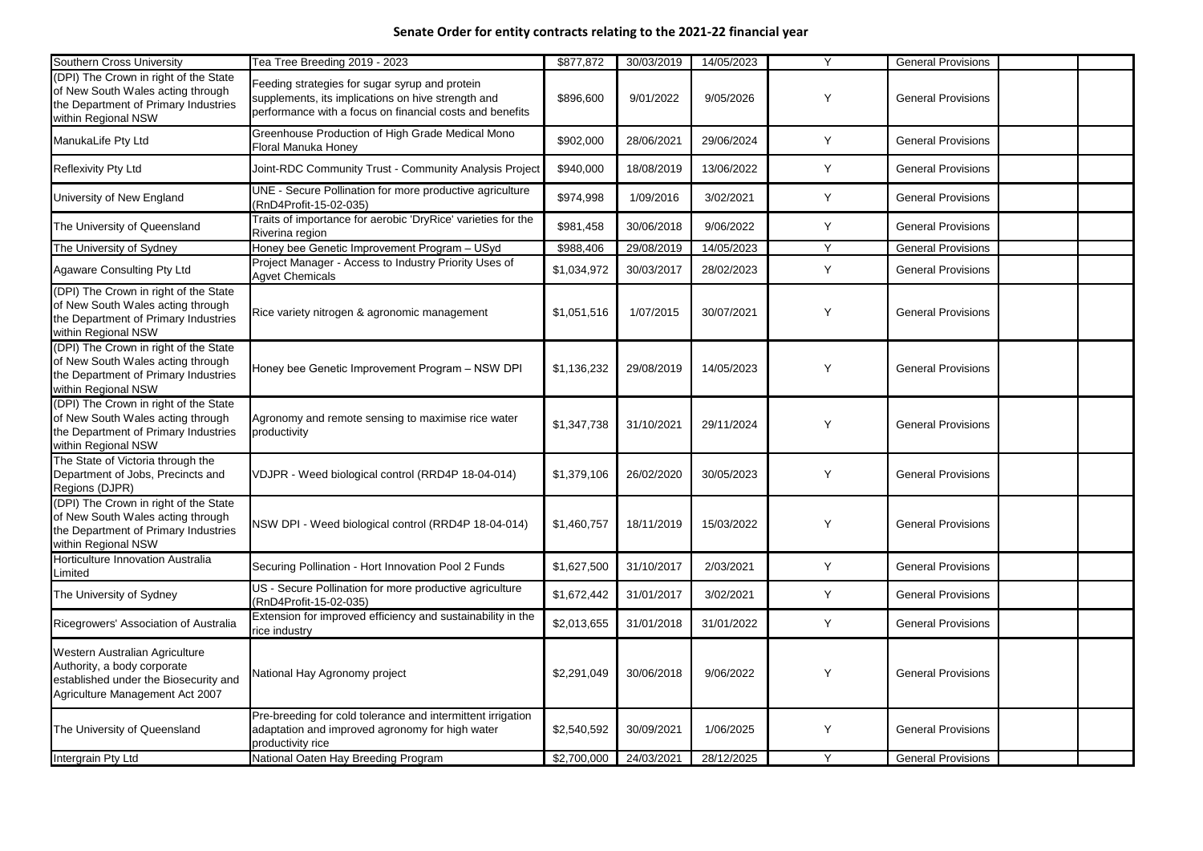| Southern Cross University                                                                                                                 | Tea Tree Breeding 2019 - 2023                                                                                                                                    | \$877,872   | 30/03/2019 | 14/05/2023 |        | <b>General Provisions</b> |  |
|-------------------------------------------------------------------------------------------------------------------------------------------|------------------------------------------------------------------------------------------------------------------------------------------------------------------|-------------|------------|------------|--------|---------------------------|--|
| (DPI) The Crown in right of the State<br>of New South Wales acting through<br>the Department of Primary Industries<br>within Regional NSW | Feeding strategies for sugar syrup and protein<br>supplements, its implications on hive strength and<br>performance with a focus on financial costs and benefits | \$896,600   | 9/01/2022  | 9/05/2026  | Y      | <b>General Provisions</b> |  |
| ManukaLife Pty Ltd                                                                                                                        | Greenhouse Production of High Grade Medical Mono<br>Floral Manuka Honey                                                                                          | \$902,000   | 28/06/2021 | 29/06/2024 | Y      | <b>General Provisions</b> |  |
| <b>Reflexivity Pty Ltd</b>                                                                                                                | Joint-RDC Community Trust - Community Analysis Project                                                                                                           | \$940,000   | 18/08/2019 | 13/06/2022 | Y      | <b>General Provisions</b> |  |
| University of New England                                                                                                                 | UNE - Secure Pollination for more productive agriculture<br>(RnD4Profit-15-02-035)                                                                               | \$974,998   | 1/09/2016  | 3/02/2021  | Y      | <b>General Provisions</b> |  |
| The University of Queensland                                                                                                              | Traits of importance for aerobic 'DryRice' varieties for the<br>Riverina region                                                                                  | \$981,458   | 30/06/2018 | 9/06/2022  | Y      | <b>General Provisions</b> |  |
| The University of Sydney                                                                                                                  | Honey bee Genetic Improvement Program - USyd                                                                                                                     | \$988,406   | 29/08/2019 | 14/05/2023 | $\vee$ | <b>General Provisions</b> |  |
| <b>Agaware Consulting Pty Ltd</b>                                                                                                         | Project Manager - Access to Industry Priority Uses of<br><b>Agvet Chemicals</b>                                                                                  | \$1,034,972 | 30/03/2017 | 28/02/2023 | Y      | <b>General Provisions</b> |  |
| (DPI) The Crown in right of the State<br>of New South Wales acting through<br>the Department of Primary Industries<br>within Regional NSW | Rice variety nitrogen & agronomic management                                                                                                                     | \$1,051,516 | 1/07/2015  | 30/07/2021 | Y      | <b>General Provisions</b> |  |
| (DPI) The Crown in right of the State<br>of New South Wales acting through<br>the Department of Primary Industries<br>within Regional NSW | Honey bee Genetic Improvement Program - NSW DPI                                                                                                                  | \$1,136,232 | 29/08/2019 | 14/05/2023 | Y      | <b>General Provisions</b> |  |
| (DPI) The Crown in right of the State<br>of New South Wales acting through<br>the Department of Primary Industries<br>within Regional NSW | Agronomy and remote sensing to maximise rice water<br>productivity                                                                                               | \$1,347,738 | 31/10/2021 | 29/11/2024 | Y      | <b>General Provisions</b> |  |
| The State of Victoria through the<br>Department of Jobs, Precincts and<br>Regions (DJPR)                                                  | VDJPR - Weed biological control (RRD4P 18-04-014)                                                                                                                | \$1,379,106 | 26/02/2020 | 30/05/2023 | Y      | <b>General Provisions</b> |  |
| (DPI) The Crown in right of the State<br>of New South Wales acting through<br>the Department of Primary Industries<br>within Regional NSW | NSW DPI - Weed biological control (RRD4P 18-04-014)                                                                                                              | \$1,460,757 | 18/11/2019 | 15/03/2022 | Y      | <b>General Provisions</b> |  |
| Horticulture Innovation Australia<br>Limited                                                                                              | Securing Pollination - Hort Innovation Pool 2 Funds                                                                                                              | \$1,627,500 | 31/10/2017 | 2/03/2021  | Y      | <b>General Provisions</b> |  |
| The University of Sydney                                                                                                                  | US - Secure Pollination for more productive agriculture<br>(RnD4Profit-15-02-035)                                                                                | \$1,672,442 | 31/01/2017 | 3/02/2021  | Y      | <b>General Provisions</b> |  |
| Ricegrowers' Association of Australia                                                                                                     | Extension for improved efficiency and sustainability in the<br>rice industry                                                                                     | \$2,013,655 | 31/01/2018 | 31/01/2022 | Y      | <b>General Provisions</b> |  |
| Western Australian Agriculture<br>Authority, a body corporate<br>established under the Biosecurity and<br>Agriculture Management Act 2007 | National Hay Agronomy project                                                                                                                                    | \$2,291,049 | 30/06/2018 | 9/06/2022  | Y      | <b>General Provisions</b> |  |
| The University of Queensland                                                                                                              | Pre-breeding for cold tolerance and intermittent irrigation<br>adaptation and improved agronomy for high water<br>productivity rice                              | \$2,540,592 | 30/09/2021 | 1/06/2025  | Y      | <b>General Provisions</b> |  |
| Intergrain Pty Ltd                                                                                                                        | National Oaten Hay Breeding Program                                                                                                                              | \$2,700,000 | 24/03/2021 | 28/12/2025 | Y      | <b>General Provisions</b> |  |